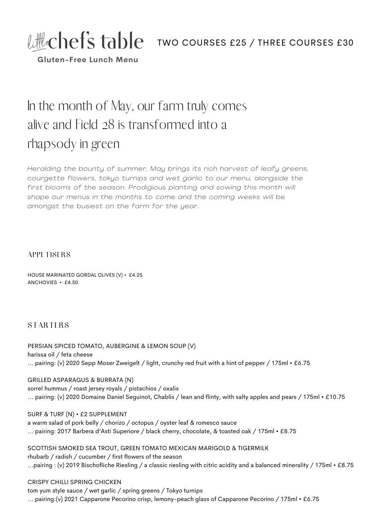

**Gluten-Free Lunch Menu**

# In the month of May, our farm truly comes alive and Field 28 is transformed into a rhapsody in green

*Heralding the bounty of summer, May brings its rich harvest of leafy greens, courgette flowers, tokyo turnips and wet garl ic to our menu, alongside the first blooms of the season. Prodigious planting and sowing this month wi l l shape our menus in the months to come and the coming weeks wi l l be amongst the busiest on the farm for the year.*

#### **APPETISERS**

HOUSE MARINATED GORDAL OLIVES (V) • £4.25 ANCHOVIES • £4.50

## **STARTERS**

PERSIAN SPICED TOMATO, AUBERGINE & LEMON SOUP (V) harissa oil / feta cheese ... pairing: (v) 2020 Sepp Moser Zweigelt / light, crunchy red fruit with a hint of pepper / 175ml • £6.75

GRILLED ASPARAGUS & BURRATA (N) sorrel hummus / roast jersey royals / pistachios / oxalis ... pairing: (v) 2020 Domaine Daniel Seguinot, Chablis / lean and flinty, with salty apples and pears / 175ml • £10.75

SURF & TURF (N) • £2 SUPPLEMENT a warm salad of pork belly / chorizo / octopus / oyster leaf & romesco sauce ... pairing: 2017 Barbera d'Asti Superiore / black cherry, chocolate, & toasted oak / 175ml • £8.75

SCOTTISH SMOKED SEA TROUT, GREEN TOMATO MEXICAN MARIGOLD & TIGERMILK rhubarb / radish / cucumber / first flowers of the season ...pairing : (v) 2019 Bischofliche Riesling / a classic riesling with citric acidity and a balanced minerality / 175ml • £8.75

#### CRISPY CHILLI SPRING CHICKEN

tom yum style sauce / wet garlic / spring greens / Tokyo turnips ... pairing:(v) 2021 Capparone Pecorino crisp, lemony-peach glass of Capparone Pecorino / 175ml • £6.75